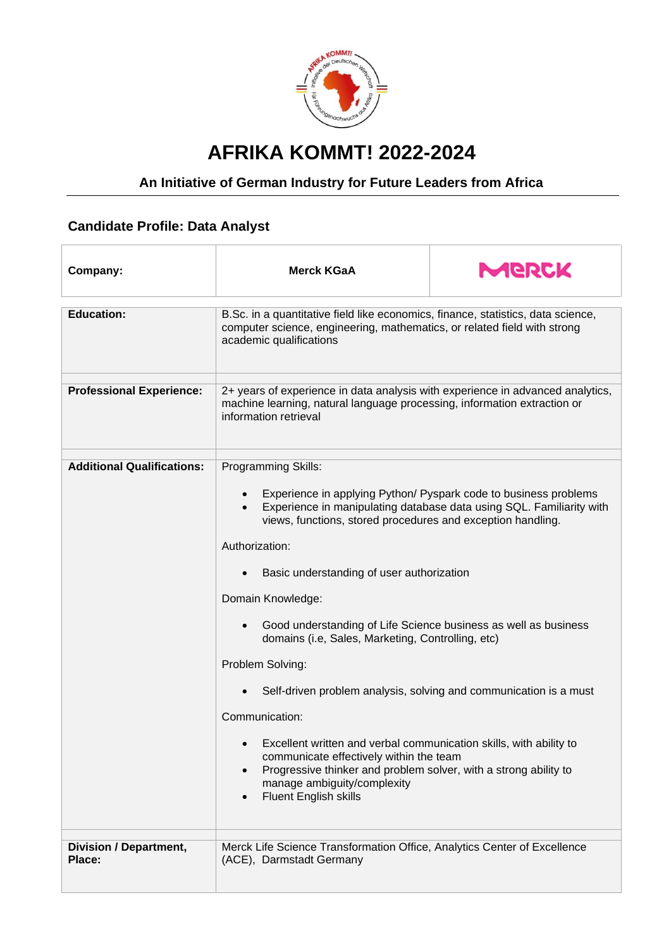

## **AFRIKA KOMMT! 2022-2024**

## **An Initiative of German Industry for Future Leaders from Africa**

## **Candidate Profile: Data Analyst**

| Company:                          | <b>Merck KGaA</b>                                                                                                                                                                                                                                                                                                                                                                                                                                                                                                                                                                                                                                                                                                                                                                                   | MGRCK |
|-----------------------------------|-----------------------------------------------------------------------------------------------------------------------------------------------------------------------------------------------------------------------------------------------------------------------------------------------------------------------------------------------------------------------------------------------------------------------------------------------------------------------------------------------------------------------------------------------------------------------------------------------------------------------------------------------------------------------------------------------------------------------------------------------------------------------------------------------------|-------|
| <b>Education:</b>                 | B.Sc. in a quantitative field like economics, finance, statistics, data science,<br>computer science, engineering, mathematics, or related field with strong<br>academic qualifications                                                                                                                                                                                                                                                                                                                                                                                                                                                                                                                                                                                                             |       |
| <b>Professional Experience:</b>   | 2+ years of experience in data analysis with experience in advanced analytics,<br>machine learning, natural language processing, information extraction or<br>information retrieval                                                                                                                                                                                                                                                                                                                                                                                                                                                                                                                                                                                                                 |       |
| <b>Additional Qualifications:</b> | Programming Skills:<br>Experience in applying Python/ Pyspark code to business problems<br>Experience in manipulating database data using SQL. Familiarity with<br>views, functions, stored procedures and exception handling.<br>Authorization:<br>Basic understanding of user authorization<br>$\bullet$<br>Domain Knowledge:<br>Good understanding of Life Science business as well as business<br>$\bullet$<br>domains (i.e, Sales, Marketing, Controlling, etc)<br>Problem Solving:<br>Self-driven problem analysis, solving and communication is a must<br>Communication:<br>Excellent written and verbal communication skills, with ability to<br>communicate effectively within the team<br>Progressive thinker and problem solver, with a strong ability to<br>manage ambiguity/complexity |       |
| Division / Department,<br>Place:  | Fluent English skills<br>$\bullet$<br>Merck Life Science Transformation Office, Analytics Center of Excellence<br>(ACE), Darmstadt Germany                                                                                                                                                                                                                                                                                                                                                                                                                                                                                                                                                                                                                                                          |       |